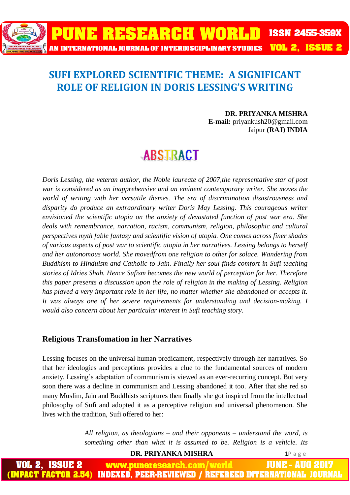

### **SUFI EXPLORED SCIENTIFIC THEME: A SIGNIFICANT ROLE OF RELIGION IN DORIS LESSING'S WRITING**

#### **DR. PRIYANKA MISHRA E-mail:** priyankush20@gmail.com Jaipur **(RAJ) INDIA**

## **ABSTRACT**

*Doris Lessing, the veteran author, the Noble laureate of 2007,the representative star of post war is considered as an inapprehensive and an eminent contemporary writer. She moves the world of writing with her versatile themes. The era of discrimination disastrousness and disparity do produce an extraordinary writer Doris May Lessing. This courageous writer envisioned the scientific utopia on the anxiety of devastated function of post war era. She deals with remembrance, narration, racism, communism, religion, philosophic and cultural perspectives myth fable fantasy and scientific vision of utopia. One comes across finer shades of various aspects of post war to scientific utopia in her narratives. Lessing belongs to herself and her autonomous world. She movedfrom one religion to other for solace. Wandering from Buddhism to Hinduism and Catholic to Jain. Finally her soul finds comfort in Sufi teaching stories of Idries Shah. Hence Sufism becomes the new world of perception for her. Therefore this paper presents a discussion upon the role of religion in the making of Lessing. Religion has played a very important role in her life, no matter whether she abandoned or accepts it. It was always one of her severe requirements for understanding and decision-making. I would also concern about her particular interest in Sufi teaching story.*

#### **Religious Transfomation in her Narratives**

Lessing focuses on the universal human predicament, respectively through her narratives. So that her ideologies and perceptions provides a clue to the fundamental sources of modern anxiety. Lessing's adaptation of communism is viewed as an ever-recurring concept. But very soon there was a decline in communism and Lessing abandoned it too. After that she red so many Muslim, Jain and Buddhists scriptures then finally she got inspired from the intellectual philosophy of Sufi and adopted it as a perceptive religion and universal phenomenon. She lives with the tradition, Sufi offered to her:

> *All religion, as theologians – and their opponents – understand the word, is something other than what it is assumed to be. Religion is a vehicle. Its*

**DR. PRIYANKA MISHRA** 1P a g e ISSUEZ www.puneresearch.com/world JUNE - AUG 2 **INDEXED, PEER-REVIEWED / REFEREED INTERNATIONAL JO**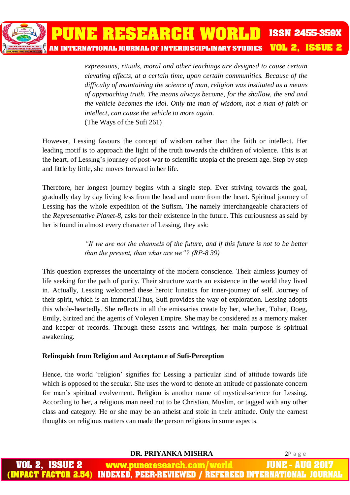

*expressions, rituals, moral and other teachings are designed to cause certain elevating effects, at a certain time, upon certain communities. Because of the difficulty of maintaining the science of man, religion was instituted as a means of approaching truth. The means always become, for the shallow, the end and the vehicle becomes the idol. Only the man of wisdom, not a man of faith or intellect, can cause the vehicle to more again.* (The Ways of the Sufi 261)

However, Lessing favours the concept of wisdom rather than the faith or intellect. Her leading motif is to approach the light of the truth towards the children of violence. This is at the heart, of Lessing's journey of post-war to scientific utopia of the present age. Step by step and little by little, she moves forward in her life.

Therefore, her longest journey begins with a single step. Ever striving towards the goal, gradually day by day living less from the head and more from the heart. Spiritual journey of Lessing has the whole expedition of the Sufism. The namely interchangeable characters of the *Representative Planet-8,* asks for their existence in the future. This curiousness as said by her is found in almost every character of Lessing, they ask:

> *"If we are not the channels of the future, and if this future is not to be better than the present, than what are we"? (RP-8 39)*

This question expresses the uncertainty of the modern conscience. Their aimless journey of life seeking for the path of purity. Their structure wants an existence in the world they lived in. Actually, Lessing welcomed these heroic lunatics for inner-journey of self. Journey of their spirit, which is an immortal.Thus, Sufi provides the way of exploration. Lessing adopts this whole-heartedly. She reflects in all the emissaries create by her, whether, Tohar, Doeg, Emily, Sirized and the agents of Voleyen Empire. She may be considered as a memory maker and keeper of records. Through these assets and writings, her main purpose is spiritual awakening.

#### **Relinquish from Religion and Acceptance of Sufi-Perception**

Hence, the world 'religion' signifies for Lessing a particular kind of attitude towards life which is opposed to the secular. She uses the word to denote an attitude of passionate concern for man's spiritual evolvement. Religion is another name of mystical-science for Lessing. According to her, a religious man need not to be Christian, Muslim, or tagged with any other class and category. He or she may be an atheist and stoic in their attitude. Only the earnest thoughts on religious matters can made the person religious in some aspects.

**DR. PRIYANKA MISHRA** 2P a g e

www.puneresearch.com/ world **REFEREED INTERNA** INDEXED. PEER-REVIEWED /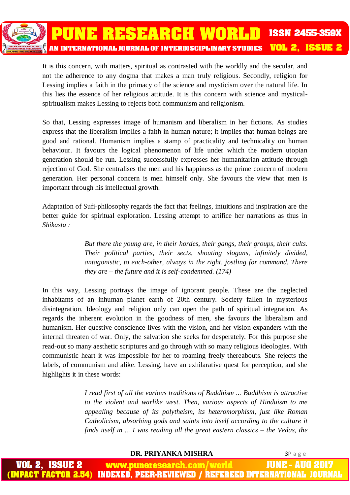

It is this concern, with matters, spiritual as contrasted with the worldly and the secular, and not the adherence to any dogma that makes a man truly religious. Secondly, religion for Lessing implies a faith in the primacy of the science and mysticism over the natural life. In this lies the essence of her religious attitude. It is this concern with science and mysticalspiritualism makes Lessing to rejects both communism and religionism.

So that, Lessing expresses image of humanism and liberalism in her fictions. As studies express that the liberalism implies a faith in human nature; it implies that human beings are good and rational. Humanism implies a stamp of practicality and technicality on human behaviour. It favours the logical phenomenon of life under which the modern utopian generation should be run. Lessing successfully expresses her humanitarian attitude through rejection of God. She centralises the men and his happiness as the prime concern of modern generation. Her personal concern is men himself only. She favours the view that men is important through his intellectual growth.

Adaptation of Sufi-philosophy regards the fact that feelings, intuitions and inspiration are the better guide for spiritual exploration. Lessing attempt to artifice her narrations as thus in *Shikasta :*

> *But there the young are, in their hordes, their gangs, their groups, their cults. Their political parties, their sects, shouting slogans, infinitely divided, antagonistic, to each-other, always in the right, jostling for command. There they are – the future and it is self-condemned. (174)*

In this way, Lessing portrays the image of ignorant people. These are the neglected inhabitants of an inhuman planet earth of 20th century. Society fallen in mysterious disintegration. Ideology and religion only can open the path of spiritual integration. As regards the inherent evolution in the goodness of men, she favours the liberalism and humanism. Her questive conscience lives with the vision, and her vision expanders with the internal threaten of war. Only, the salvation she seeks for desperately. For this purpose she read-out so many aesthetic scriptures and go through with so many religious ideologies. With communistic heart it was impossible for her to roaming freely thereabouts. She rejects the labels, of communism and alike. Lessing, have an exhilarative quest for perception, and she highlights it in these words:

> *I read first of all the various traditions of Buddhism ... Buddhism is attractive to the violent and warlike west. Then, various aspects of Hinduism to me appealing because of its polytheism, its heteromorphism, just like Roman Catholicism, absorbing gods and saints into itself according to the culture it finds itself in ... I was reading all the great eastern classics – the Vedas, the*

#### **DR. PRIYANKA MISHRA** 3P a g e

JUNE - AUG ISSUE www.puneresearch.com/world **INDEXED, PEER-REVIEWED / REFEREED INTERNATIONAL**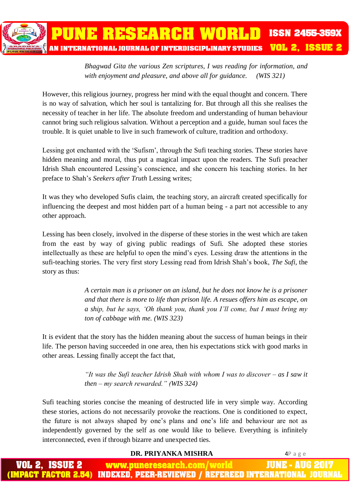*Bhagwad Gita the various Zen scriptures, I was reading for information, and with enjoyment and pleasure, and above all for guidance. (WIS 321)*

However, this religious journey, progress her mind with the equal thought and concern. There is no way of salvation, which her soul is tantalizing for. But through all this she realises the necessity of teacher in her life. The absolute freedom and understanding of human behaviour cannot bring such religious salvation. Without a perception and a guide, human soul faces the trouble. It is quiet unable to live in such framework of culture, tradition and orthodoxy.

Lessing got enchanted with the 'Sufism', through the Sufi teaching stories. These stories have hidden meaning and moral, thus put a magical impact upon the readers. The Sufi preacher Idrish Shah encountered Lessing's conscience, and she concern his teaching stories. In her preface to Shah's *Seekers after Truth* Lessing writes;

It was they who developed Sufis claim, the teaching story, an aircraft created specifically for influencing the deepest and most hidden part of a human being - a part not accessible to any other approach.

Lessing has been closely, involved in the disperse of these stories in the west which are taken from the east by way of giving public readings of Sufi. She adopted these stories intellectually as these are helpful to open the mind's eyes. Lessing draw the attentions in the sufi-teaching stories. The very first story Lessing read from Idrish Shah's book, *The Sufi*, the story as thus:

> *A certain man is a prisoner on an island, but he does not know he is a prisoner and that there is more to life than prison life. A resues offers him as escape, on a ship, but he says, 'Oh thank you, thank you I'll come, but I must bring my ton of cabbage with me. (WIS 323)*

It is evident that the story has the hidden meaning about the success of human beings in their life. The person having succeeded in one area, then his expectations stick with good marks in other areas. Lessing finally accept the fact that,

> *"It was the Sufi teacher Idrish Shah with whom I was to discover – as I saw it then – my search rewarded." (WIS 324)*

Sufi teaching stories concise the meaning of destructed life in very simple way. According these stories, actions do not necessarily provoke the reactions. One is conditioned to expect, the future is not always shaped by one's plans and one's life and behaviour are not as independently governed by the self as one would like to believe. Everything is infinitely interconnected, even if through bizarre and unexpected ties.

#### **DR. PRIYANKA MISHRA** 4P a g e

JUNE - AU www.puneresearch.com/world ACT FACTOR 2.54) INDEXED. PEER-REVIEWED / REFEREED INTERNATIONAL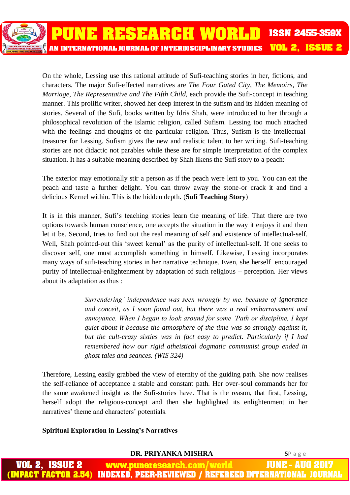PUNE RESEARCH WORLD **ISSN 2455-359X VOL 2. ISSUE 2** AN INTERNATIONAL JOURNAL OF INTERDISCIPLINARY STUDIES

> On the whole, Lessing use this rational attitude of Sufi-teaching stories in her, fictions, and characters. The major Sufi-effected narratives are *The Four Gated City, The Memoirs, The Marriage, The Representative and The Fifth Child,* each provide the Sufi-concept in teaching manner. This prolific writer, showed her deep interest in the sufism and its hidden meaning of stories. Several of the Sufi, books written by Idris Shah, were introduced to her through a philosophical revolution of the Islamic religion, called Sufism. Lessing too much attached with the feelings and thoughts of the particular religion. Thus, Sufism is the intellectualtreasurer for Lessing. Sufism gives the new and realistic talent to her writing. Sufi-teaching stories are not didactic not parables while these are for simple interpretation of the complex situation. It has a suitable meaning described by Shah likens the Sufi story to a peach:

> The exterior may emotionally stir a person as if the peach were lent to you. You can eat the peach and taste a further delight. You can throw away the stone-or crack it and find a delicious Kernel within. This is the hidden depth. (**Sufi Teaching Story**)

> It is in this manner, Sufi's teaching stories learn the meaning of life. That there are two options towards human conscience, one accepts the situation in the way it enjoys it and then let it be. Second, tries to find out the real meaning of self and existence of intellectual-self. Well, Shah pointed-out this 'sweet kernal' as the purity of intellectual-self. If one seeks to discover self, one must accomplish something in himself. Likewise, Lessing incorporates many ways of sufi-teaching stories in her narrative technique. Even, she herself encouraged purity of intellectual-enlightenment by adaptation of such religious – perception. Her views about its adaptation as thus :

> > *Surrendering' independence was seen wrongly by me, because of ignorance and conceit, as I soon found out, but there was a real embarrassment and annoyance. When I began to look around for some 'Path or discipline, I kept quiet about it because the atmosphere of the time was so strongly against it, but the cult-crazy sixties was in fact easy to predict. Particularly if I had remembered how our rigid atheistical dogmatic communist group ended in ghost tales and seances. (WIS 324)*

Therefore, Lessing easily grabbed the view of eternity of the guiding path. She now realises the self-reliance of acceptance a stable and constant path. Her over-soul commands her for the same awakened insight as the Sufi-stories have. That is the reason, that first, Lessing, herself adopt the religious-concept and then she highlighted its enlightenment in her narratives' theme and characters' potentials.

#### **Spiritual Exploration in Lessing's Narratives**

| DR. PRIYANKA MISHRA                                                          | 5Page |
|------------------------------------------------------------------------------|-------|
| <b>VOL 2, ISSUE 2 WWW.puneresearch.com/world JUNE - AUG 2017</b>             |       |
| (IMPACT FACTOR 2.54) INDEXED, PEER-REVIEWED / REFEREED INTERNATIONAL JOURNAL |       |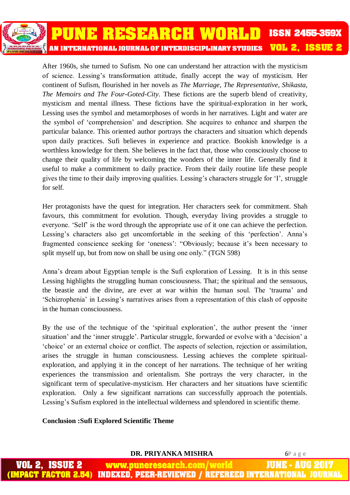

After 1960s, she turned to Sufism. No one can understand her attraction with the mysticism of science. Lessing's transformation attitude, finally accept the way of mysticism. Her continent of Sufism, flourished in her novels as *The Marriage, The Representative, Shikasta, The Memoirs and The Four-Goted-City.* These fictions are the superb blend of creativity, mysticism and mental illness. These fictions have the spiritual-exploration in her work, Lessing uses the symbol and metamorphoses of words in her narratives. Light and water are the symbol of 'comprehension' and description. She acquires to enhance and sharpen the particular balance. This oriented author portrays the characters and situation which depends upon daily practices. Sufi believes in experience and practice. Bookish knowledge is a worthless knowledge for them. She believes in the fact that, those who consciously choose to change their quality of life by welcoming the wonders of the inner life. Generally find it useful to make a commitment to daily practice. From their daily routine life these people gives the time to their daily improving qualities. Lessing's characters struggle for 'I', struggle for self.

Her protagonists have the quest for integration. Her characters seek for commitment. Shah favours, this commitment for evolution. Though, everyday living provides a struggle to everyone. 'Self' is the word through the appropriate use of it one can achieve the perfection. Lessing's characters also get uncomfortable in the seeking of this 'perfection'. Anna's fragmented conscience seeking for 'oneness': "Obviously; because it's been necessary to split myself up, but from now on shall be using one only." (TGN 598)

Anna's dream about Egyptian temple is the Sufi exploration of Lessing. It is in this sense Lessing highlights the struggling human consciousness. That; the spiritual and the sensuous, the beastie and the divine, are ever at war within the human soul. The 'trauma' and 'Schizrophenia' in Lessing's narratives arises from a representation of this clash of opposite in the human consciousness.

By the use of the technique of the 'spiritual exploration', the author present the 'inner situation' and the 'inner struggle'. Particular struggle, forwarded or evolve with a 'decision' a 'choice' or an external choice or conflict. The aspects of selection, rejection or assimilation, arises the struggle in human consciousness. Lessing achieves the complete spiritualexploration, and applying it in the concept of her narrations. The technique of her writing experiences the transmission and orientalism. She portrays the very character, in the significant term of speculative-mysticism. Her characters and her situations have scientific exploration. Only a few significant narrations can successfully approach the potentials. Lessing's Sufism explored in the intellectual wilderness and splendored in scientific theme.

#### **Conclusion :Sufi Explored Scientific Theme**

|                       | DR. PRIYANKA MISHRA                                                          | 6Page |
|-----------------------|------------------------------------------------------------------------------|-------|
| <b>VOL 2, ISSUE 2</b> | www.puneresearch.com/world JUNE - AUG 2017                                   |       |
|                       | (IMPACT FACTOR 2.54) INDEXED, PEER-REVIEWED / REFEREED INTERNATIONAL JOURNAL |       |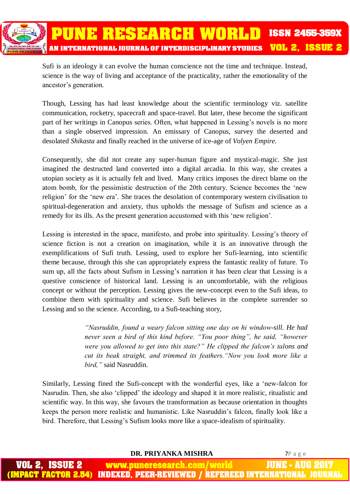

Sufi is an ideology it can evolve the human conscience not the time and technique. Instead, science is the way of living and acceptance of the practicality, rather the emotionality of the ancestor's generation.

Though, Lessing has had least knowledge about the scientific terminology viz. satellite communication, rocketry, spacecraft and space-travel. But later, these become the significant part of her writings in Canopus series. Often, what happened in Lessing's novels is no more than a single observed impression. An emissary of Canopus, survey the deserted and desolated *Shikasta* and finally reached in the universe of ice-age of *Volyen Empire.*

Consequently, she did not create any super-human figure and mystical-magic. She just imagined the destructed land converted into a digital arcadia. In this way, she creates a utopian society as it is actually felt and lived. Many critics imposes the direct blame on the atom bomb, for the pessimistic destruction of the 20th century. Science becomes the 'new religion' for the 'new era'. She traces the desolation of contemporary western civilisation to spiritual-degeneration and anxiety, thus upholds the message of Sufism and science as a remedy for its ills. As the present generation accustomed with this 'new religion'.

Lessing is interested in the space, manifesto, and probe into spirituality. Lessing's theory of science fiction is not a creation on imagination, while it is an innovative through the exemplifications of Sufi truth. Lessing, used to explore her Sufi-learning, into scientific theme because, through this she can appropriately express the fantastic reality of future. To sum up, all the facts about Sufism in Lessing's narration it has been clear that Lessing is a questive conscience of historical land. Lessing is an uncomfortable, with the religious concept or without the perception. Lessing gives the new-concept even to the Sufi ideas, to combine them with spirituality and science. Sufi believes in the complete surrender so Lessing and so the science. According, to a Sufi-teaching story,

> *"Nasruddin, found a weary falcon sitting one day on hi window-sill. He had never seen a bird of this kind before. "You poor thing", he said, "however were you allowed to get into this state?" He clipped the falcon's talons and cut its beak straight, and trimmed its feathers."Now you look more like a bird,"* said Nasruddin.

Similarly, Lessing fined the Sufi-concept with the wonderful eyes, like a 'new-falcon for Nasrudin. Then, she also 'clipped' the ideology and shaped it in more realistic, ritualistic and scientific way. In this way, she favours the transformation as because orientation in thoughts keeps the person more realistic and humanistic. Like Nasruddin's falcon, finally look like a bird. Therefore, that Lessing's Sufism looks more like a space-idealism of spirituality.

**DR. PRIYANKA MISHRA** 7P a g e

IUNE ISSUE 2 www.puneresearch.com/world AU IMPACT FACTOR 2.54) INDEXED. PEER-REVIEWED / REFEREED INTERNATIONAL